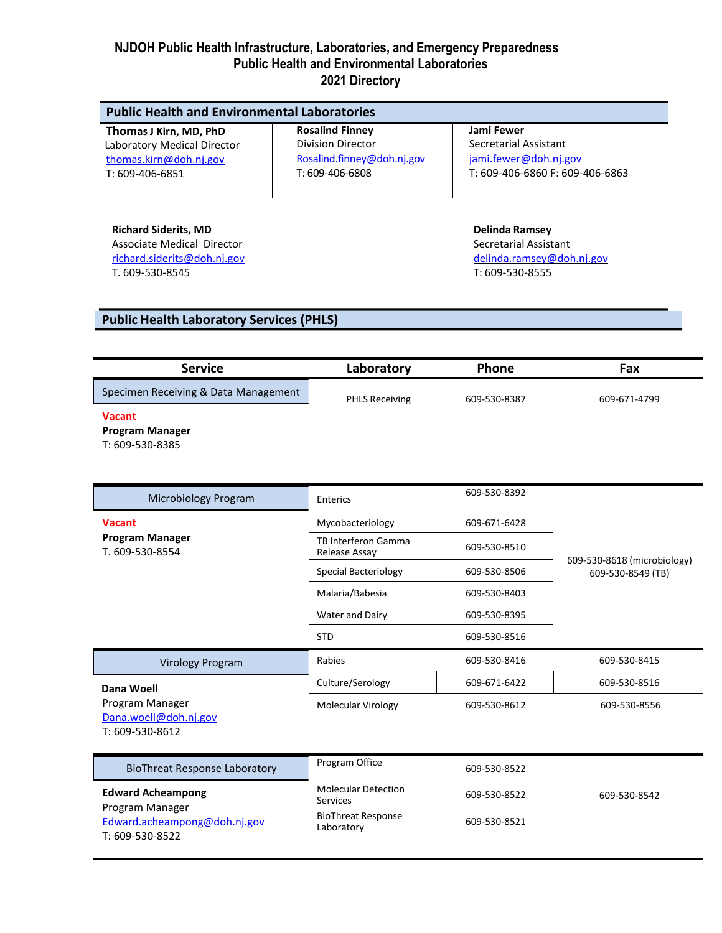| Thomas J Kirn, MD, PhD      | <b>Rosalind Finney</b>     | Jami Fewer                      |
|-----------------------------|----------------------------|---------------------------------|
| Laboratory Medical Director | <b>Division Director</b>   | Secretarial Assistant           |
| thomas.kirn@doh.nj.gov      | Rosalind.finney@doh.nj.gov | jami.fewer@doh.nj.gov           |
| T: 609-406-6851             | T: 609-406-6808            | T: 609-406-6860 F: 609-406-6863 |
| <b>Richard Siderits, MD</b> |                            | <b>Delinda Ramsey</b>           |
| Associate Medical Director  |                            | Secretarial Assistant           |

[richard.siderits@doh.nj.gov](mailto:richard.siderits@doh.nj.gov) T. 609-530-8545

[delinda.ramsey@doh.nj.gov](mailto:delinda.ramsey@doh.nj.gov) T: 609-530-8555

# **Public Health Laboratory Services (PHLS)**

| <b>Service</b>                                                                                 | Laboratory                                    | Phone        | Fax                                              |  |
|------------------------------------------------------------------------------------------------|-----------------------------------------------|--------------|--------------------------------------------------|--|
| Specimen Receiving & Data Management                                                           | <b>PHLS Receiving</b>                         | 609-530-8387 | 609-671-4799                                     |  |
| <b>Vacant</b><br><b>Program Manager</b><br>T: 609-530-8385                                     |                                               |              |                                                  |  |
| Microbiology Program                                                                           | Enterics                                      | 609-530-8392 |                                                  |  |
| <b>Vacant</b><br><b>Program Manager</b><br>T. 609-530-8554                                     | Mycobacteriology                              | 609-671-6428 |                                                  |  |
|                                                                                                | TB Interferon Gamma<br>Release Assay          | 609-530-8510 |                                                  |  |
|                                                                                                | <b>Special Bacteriology</b>                   | 609-530-8506 | 609-530-8618 (microbiology)<br>609-530-8549 (TB) |  |
|                                                                                                | Malaria/Babesia                               | 609-530-8403 |                                                  |  |
|                                                                                                | Water and Dairy                               | 609-530-8395 |                                                  |  |
|                                                                                                | <b>STD</b>                                    | 609-530-8516 |                                                  |  |
| <b>Virology Program</b>                                                                        | Rabies                                        | 609-530-8416 | 609-530-8415                                     |  |
| <b>Dana Woell</b><br>Program Manager<br>Dana.woell@doh.nj.gov<br>T: 609-530-8612               | Culture/Serology                              | 609-671-6422 | 609-530-8516                                     |  |
|                                                                                                | Molecular Virology                            | 609-530-8612 | 609-530-8556                                     |  |
| <b>BioThreat Response Laboratory</b>                                                           | Program Office                                | 609-530-8522 |                                                  |  |
| <b>Edward Acheampong</b><br>Program Manager<br>Edward.acheampong@doh.nj.gov<br>T: 609-530-8522 | <b>Molecular Detection</b><br><b>Services</b> | 609-530-8522 | 609-530-8542                                     |  |
|                                                                                                | <b>BioThreat Response</b><br>Laboratory       | 609-530-8521 |                                                  |  |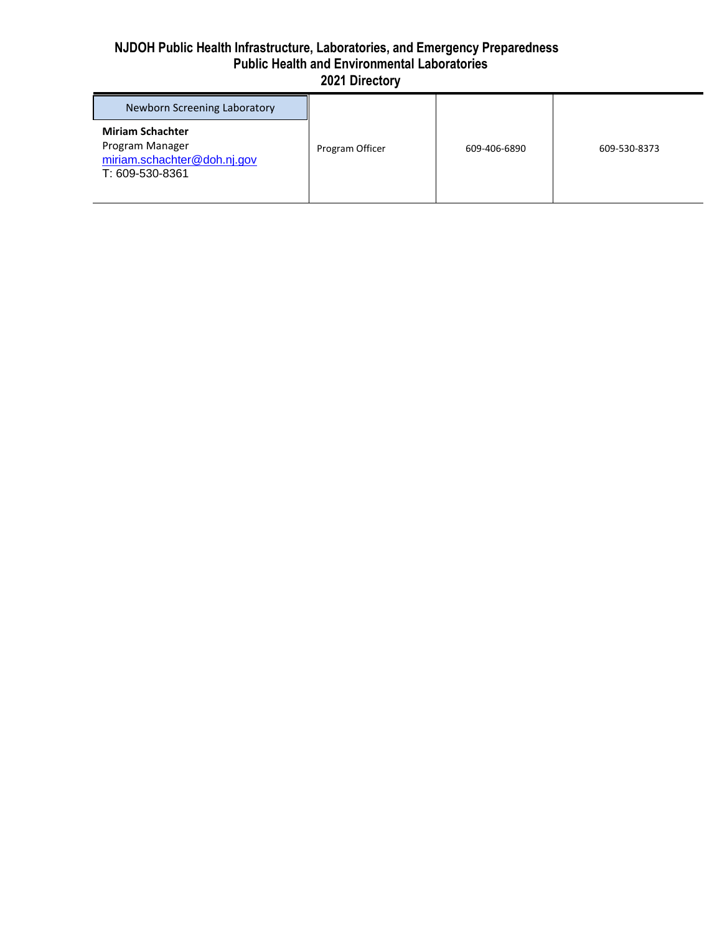| Newborn Screening Laboratory                                                                 |                 |              |              |
|----------------------------------------------------------------------------------------------|-----------------|--------------|--------------|
| <b>Miriam Schachter</b><br>Program Manager<br>miriam.schachter@doh.nj.gov<br>T: 609-530-8361 | Program Officer | 609-406-6890 | 609-530-8373 |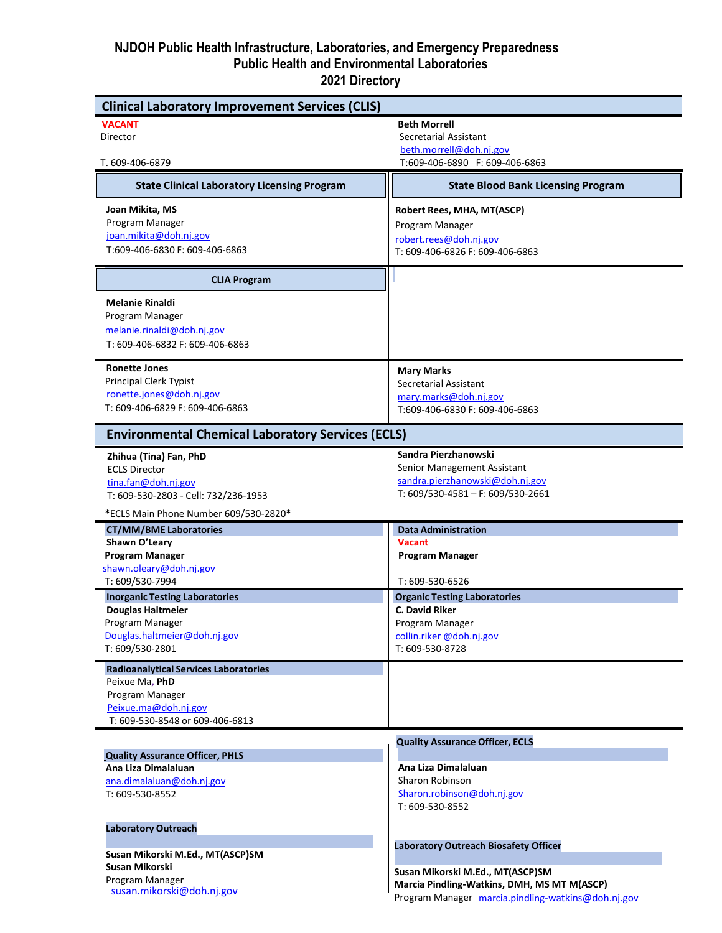| <b>Clinical Laboratory Improvement Services (CLIS)</b>         |                                                    |
|----------------------------------------------------------------|----------------------------------------------------|
| <b>VACANT</b>                                                  | <b>Beth Morrell</b>                                |
| Director                                                       | Secretarial Assistant                              |
|                                                                | beth.morrell@doh.nj.gov                            |
| T. 609-406-6879                                                | T:609-406-6890 F: 609-406-6863                     |
| <b>State Clinical Laboratory Licensing Program</b>             | <b>State Blood Bank Licensing Program</b>          |
| Joan Mikita, MS                                                | Robert Rees, MHA, MT(ASCP)                         |
| Program Manager                                                | Program Manager                                    |
| joan.mikita@doh.nj.gov                                         | robert.rees@doh.nj.gov                             |
| T:609-406-6830 F: 609-406-6863                                 | T: 609-406-6826 F: 609-406-6863                    |
| <b>CLIA Program</b>                                            |                                                    |
| <b>Melanie Rinaldi</b>                                         |                                                    |
| Program Manager                                                |                                                    |
| melanie.rinaldi@doh.nj.gov                                     |                                                    |
| T: 609-406-6832 F: 609-406-6863                                |                                                    |
| <b>Ronette Jones</b>                                           | <b>Mary Marks</b>                                  |
| Principal Clerk Typist                                         | Secretarial Assistant                              |
| ronette.jones@doh.nj.gov                                       | mary.marks@doh.nj.gov                              |
| T: 609-406-6829 F: 609-406-6863                                | T:609-406-6830 F: 609-406-6863                     |
|                                                                |                                                    |
| <b>Environmental Chemical Laboratory Services (ECLS)</b>       |                                                    |
| Zhihua (Tina) Fan, PhD                                         | Sandra Pierzhanowski                               |
| <b>ECLS Director</b>                                           | Senior Management Assistant                        |
| tina.fan@doh.nj.gov                                            | sandra.pierzhanowski@doh.nj.gov                    |
| T: 609-530-2803 - Cell: 732/236-1953                           | T: $609/530 - 4581 - F$ : $609/530 - 2661$         |
| *ECLS Main Phone Number 609/530-2820*                          |                                                    |
| <b>CT/MM/BME Laboratories</b>                                  | <b>Data Administration</b>                         |
| Shawn O'Leary                                                  | <b>Vacant</b>                                      |
| <b>Program Manager</b>                                         | <b>Program Manager</b>                             |
| shawn.oleary@doh.nj.gov                                        |                                                    |
| T: 609/530-7994                                                | T: 609-530-6526                                    |
| <b>Inorganic Testing Laboratories</b>                          | <b>Organic Testing Laboratories</b>                |
| <b>Douglas Haltmeier</b>                                       | <b>C. David Riker</b>                              |
| Program Manager                                                | Program Manager                                    |
| Douglas.haltmeier@doh.nj.gov                                   | collin.riker @doh.nj.gov                           |
| T: 609/530-2801                                                | T: 609-530-8728                                    |
| <b>Radioanalytical Services Laboratories</b><br>Peixue Ma, PhD |                                                    |
|                                                                |                                                    |
| Program Manager<br>Peixue.ma@doh.nj.gov                        |                                                    |
| T: 609-530-8548 or 609-406-6813                                |                                                    |
|                                                                | <b>Quality Assurance Officer, ECLS</b>             |
| <b>Quality Assurance Officer, PHLS</b>                         |                                                    |
| Ana Liza Dimalaluan                                            | Ana Liza Dimalaluan                                |
| ana.dimalaluan@doh.nj.gov                                      | <b>Sharon Robinson</b>                             |
| T: 609-530-8552                                                | Sharon.robinson@doh.nj.gov<br>T: 609-530-8552      |
|                                                                |                                                    |
| <b>Laboratory Outreach</b>                                     |                                                    |
| Susan Mikorski M.Ed., MT(ASCP)SM                               | Laboratory Outreach Biosafety Officer              |
| Susan Mikorski                                                 |                                                    |
| Program Manager                                                | Susan Mikorski M.Ed., MT(ASCP)SM                   |
| susan.mikorski@doh.nj.gov                                      | Marcia Pindling-Watkins, DMH, MS MT M(ASCP)        |
|                                                                | Program Manager marcia.pindling-watkins@doh.nj.gov |